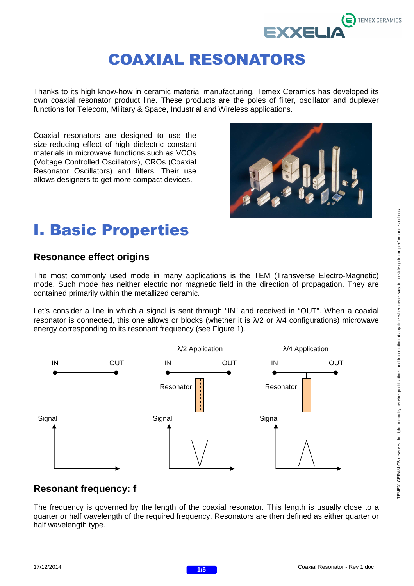

Thanks to its high know-how in ceramic material manufacturing, Temex Ceramics has developed its own coaxial resonator product line. These products are the poles of filter, oscillator and duplexer functions for Telecom, Military & Space, Industrial and Wireless applications.

Coaxial resonators are designed to use the size-reducing effect of high dielectric constant materials in microwave functions such as VCOs (Voltage Controlled Oscillators), CROs (Coaxial Resonator Oscillators) and filters. Their use allows designers to get more compact devices.



# I. Basic Properties

#### **Resonance effect origins**

The most commonly used mode in many applications is the TEM (Transverse Electro-Magnetic) mode. Such mode has neither electric nor magnetic field in the direction of propagation. They are contained primarily within the metallized ceramic.

Let's consider a line in which a signal is sent through "IN" and received in "OUT". When a coaxial resonator is connected, this one allows or blocks (whether it is  $\lambda/2$  or  $\lambda/4$  configurations) microwave energy corresponding to its resonant frequency (see Figure 1).



#### **Resonant frequency: f**

The frequency is governed by the length of the coaxial resonator. This length is usually close to a quarter or half wavelength of the required frequency. Resonators are then defined as either quarter or half wavelength type.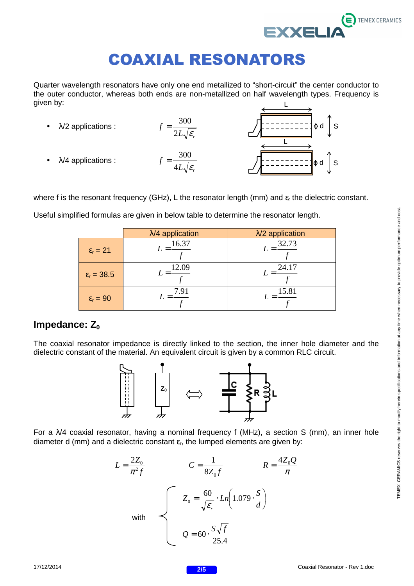

Quarter wavelength resonators have only one end metallized to "short-circuit" the center conductor to the outer conductor, whereas both ends are non-metallized on half wavelength types. Frequency is given by: L

 $\bullet$   $\lambda$ /2 applications :  $L \sqrt{\mathcal{E}_r}$ *f*  $2L\sqrt{\varepsilon}$  $=\frac{300}{100}$  $\lambda$ /4 applications :  $L \sqrt{\mathcal{E}_r}$ *f*  $4L\sqrt{\varepsilon}$  $=\frac{300}{\sqrt{2}}$  $\Phi$  d ≬d | S L

where f is the resonant frequency (GHz), L the resonator length (mm) and  $\varepsilon_r$  the dielectric constant.

|                            | $\lambda$ /4 application | $\lambda$ /2 application |
|----------------------------|--------------------------|--------------------------|
| $\varepsilon_{\rm r} = 21$ | 16.37                    | 32.73                    |
| $\epsilon_{\rm r} = 38.5$  | 12.09                    | 24.17                    |
| $\varepsilon_{\rm r} = 90$ | 7.91                     | 15.81                    |

Useful simplified formulas are given in below table to determine the resonator length.

#### **Impedance:** Z<sub>0</sub>

The coaxial resonator impedance is directly linked to the section, the inner hole diameter and the dielectric constant of the material. An equivalent circuit is given by a common RLC circuit.



For a  $\lambda$ /4 coaxial resonator, having a nominal frequency f (MHz), a section S (mm), an inner hole diameter d (mm) and a dielectric constant  $\varepsilon_{r}$ , the lumped elements are given by:

$$
L = \frac{2Z_0}{\pi^2 f}
$$
\n
$$
C = \frac{1}{8Z_0 f}
$$
\n
$$
R = \frac{4Z_0 Q}{\pi}
$$
\nwith\n
$$
Q = 60 \cdot \frac{S\sqrt{f}}{25.4}
$$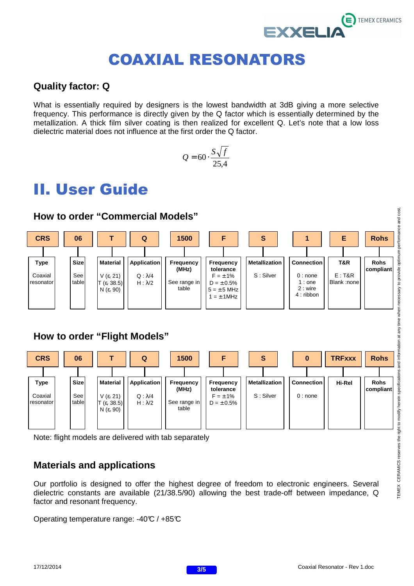

#### **Quality factor: Q**

What is essentially required by designers is the lowest bandwidth at 3dB giving a more selective frequency. This performance is directly given by the Q factor which is essentially determined by the metallization. A thick film silver coating is then realized for excellent Q. Let's note that a low loss dielectric material does not influence at the first order the Q factor.

$$
Q = 60 \cdot \frac{S\sqrt{f}}{25.4}
$$

## II. User Guide



#### **How to order "Flight Models"**



Note: flight models are delivered with tab separately

#### **Materials and applications**

Our portfolio is designed to offer the highest degree of freedom to electronic engineers. Several dielectric constants are available (21/38.5/90) allowing the best trade-off between impedance, Q factor and resonant frequency.

Operating temperature range: -40°C / +85°C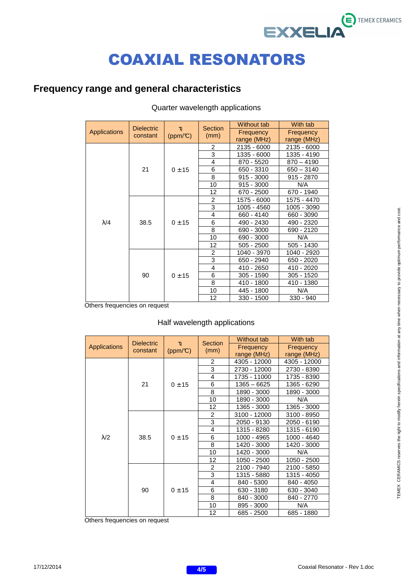### $\ddot{\boldsymbol{\epsilon}}$  TEMEX CERAMICS **EXXELIA**

# COAXIAL RESONATORS

#### **Frequency range and general characteristics**

|              | <b>Dielectric</b><br>constant | $\tau_f$<br>$(ppm/\mathbb{C})$ | <b>Section</b> | Without tab | With tab     |
|--------------|-------------------------------|--------------------------------|----------------|-------------|--------------|
| Applications |                               |                                | (mm)           | Frequency   | Frequency    |
|              |                               |                                |                | range (MHz) | range (MHz)  |
|              | 21                            | 0 ± 15                         | $\overline{2}$ | 2135 - 6000 | 2135 - 6000  |
|              |                               |                                | 3              | 1335 - 6000 | 1335 - 4190  |
|              |                               |                                | 4              | 870 - 5520  | $870 - 4190$ |
|              |                               |                                | 6              | 650 - 3310  | $650 - 3140$ |
|              |                               |                                | 8              | 915 - 3000  | 915 - 2870   |
|              |                               |                                | 10             | 915 - 3000  | N/A          |
|              |                               |                                | 12             | 670 - 2500  | 670 - 1940   |
|              | 38.5                          | 0 ± 15                         | $\overline{c}$ | 1575 - 6000 | 1575 - 4470  |
|              |                               |                                | 3              | 1005 - 4560 | 1005 - 3090  |
|              |                               |                                | 4              | 660 - 4140  | 660 - 3090   |
| $\lambda$ /4 |                               |                                | 6              | 490 - 2430  | 490 - 2320   |
|              |                               |                                | 8              | 690 - 3000  | 690 - 2120   |
|              |                               |                                | 10             | 690 - 3000  | N/A          |
|              |                               |                                | 12             | 505 - 2500  | 505 - 1430   |
|              | 90                            | 0 ± 15                         | $\overline{2}$ | 1040 - 3970 | 1040 - 2920  |
|              |                               |                                | 3              | 650 - 2940  | 650 - 2020   |
|              |                               |                                | 4              | 410 - 2650  | 410 - 2020   |
|              |                               |                                | 6              | 305 - 1590  | 305 - 1520   |
|              |                               |                                | 8              | 410 - 1800  | 410 - 1380   |
|              |                               |                                | 10             | 445 - 1800  | N/A          |
|              |                               |                                | 12             | 330 - 1500  | $330 - 940$  |

#### Quarter wavelength applications

Others frequencies on request

#### Half wavelength applications

|                     | <b>Dielectric</b><br>constant | $T_f$<br>$(ppm/\mathbb{C})$ | <b>Section</b><br>(mm) | Without tab   | With tab     |
|---------------------|-------------------------------|-----------------------------|------------------------|---------------|--------------|
| <b>Applications</b> |                               |                             |                        | Frequency     | Frequency    |
|                     |                               |                             |                        | range (MHz)   | range (MHz)  |
|                     | 21                            | 0 ± 15                      | 2                      | 4305 - 12000  | 4305 - 12000 |
|                     |                               |                             | 3                      | 2730 - 12000  | 2730 - 8390  |
|                     |                               |                             | $\overline{4}$         | 1735 - 11000  | 1735 - 8390  |
|                     |                               |                             | 6                      | $1365 - 6625$ | 1365 - 6290  |
|                     |                               |                             | 8                      | 1890 - 3000   | 1890 - 3000  |
|                     |                               |                             | 10                     | 1890 - 3000   | N/A          |
|                     |                               |                             | 12                     | 1365 - 3000   | 1365 - 3000  |
|                     | 38.5                          | 0 ± 15                      | 2                      | 3100 - 12000  | 3100 - 8950  |
|                     |                               |                             | 3                      | 2050 - 9130   | 2050 - 6190  |
|                     |                               |                             | 4                      | 1315 - 8280   | 1315 - 6190  |
| $\lambda$ /2        |                               |                             | 6                      | 1000 - 4965   | 1000 - 4640  |
|                     |                               |                             | 8                      | 1420 - 3000   | 1420 - 3000  |
|                     |                               |                             | 10                     | 1420 - 3000   | N/A          |
|                     |                               |                             | 12                     | 1050 - 2500   | 1050 - 2500  |
|                     | 90                            | 0 ± 15                      | $\overline{2}$         | 2100 - 7940   | 2100 - 5850  |
|                     |                               |                             | 3                      | 1315 - 5880   | 1315 - 4050  |
|                     |                               |                             | $\overline{4}$         | 840 - 5300    | 840 - 4050   |
|                     |                               |                             | 6                      | 630 - 3180    | 630 - 3040   |
|                     |                               |                             | 8                      | 840 - 3000    | 840 - 2770   |
|                     |                               |                             | 10                     | 895 - 3000    | N/A          |
|                     |                               |                             | 12                     | 685 - 2500    | 685 - 1880   |

Others frequencies on request